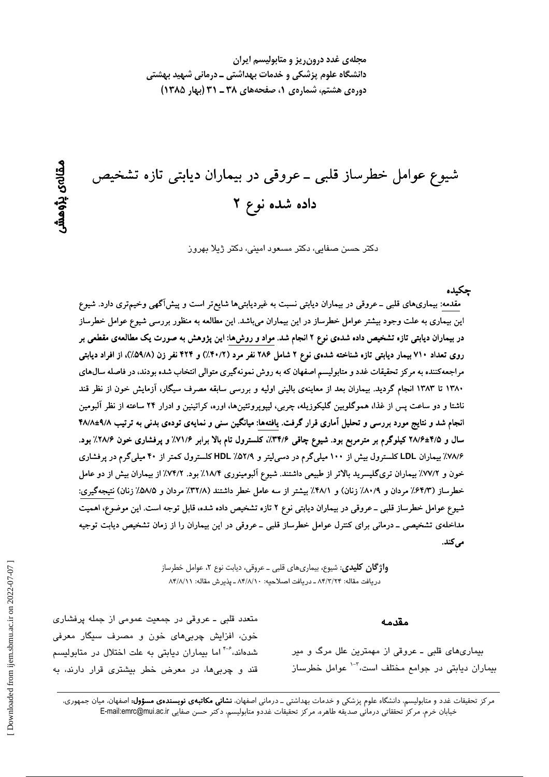مجلهی غدد درون ریز و متابولیسم ایران دانشگاه علوم پزشکی و خدمات بهداشتی ــ درمانی شهید بهشتی دورهی هشتم، شمارهی ۱، صفحههای ۳۸ ـ ۳۱ (بهار ۱۳۸۵)

شیوع عوامل خطرساز قلبی ــ عروقی در بیماران دیابتی تازه تشخیص داده شده نوع ۲

دکتر حسن صفایی، دکتر مسعود امینی، دکتر ژیلا بهروز

حكىدە

مقدمه: بیماریهای قلبی ــ عروقی در بیماران دیابتی نسبت به غیردیابتیها شایع تر است و پیشآگهی وخیم تری دارد. شیوع این بیماری به علت وجود بیشتر عوامل خطرساز در این بیماران میباشد. این مطالعه به منظور بررسی شیوع عوامل خطرساز در بیماران دیابتی تازه تشخیص داده شدهی نوع ۲ انجام شد. مواد و روش۵ا: این پژوهش به صورت یک مطالعهی مقطعی بر روی تعداد ۷۱۰ بیمار دیابتی تازه شناخته شدهی نوع ۲ شامل ۲۸۶ نفر مرد (۴۰/۲٪) و ۴۲۴ نفر زن (۵۹/۸٪)، از افراد دیابتی مراجعهکننده به مرکز تحقیقات غدد و متابولیسم اصفهان که به روش نمونهگیری متوالی انتخاب شده بودند، در فاصله سال@ای ۱۳۸۰ تا ۱۳۸۳ انجام گردید. بیماران بعد از معاینهی بالینی اولیه و بررسی سابقه مصرف سیگار، آزمایش خون از نظر قند ناشتا و دو ساعت پس از غذا، هموگلوبین گلیکوزیله، چربی، لیپوپروتئینها، اوره، کراتینین و ادرار ۲۴ ساعته از نظر آلبومین انجام شد و نتایج مورد بررسی و تحلیل آماری قرار گرفت. یافتهها: میانگین سنی و نمایهی تودهی بدنی به ترتیب ۹/۸±۴۸/۸ سال و ۴/۵±۲۸/۶ کیلوگرم بر مترمربع بود. شیوع چاقی ۳۴/۶٪، کلسترول تام بالا برابر ۷۱/۶٪ و پرفشاری خون ۲۸/۶٪ بود. ۷۸/۶٪ بیماران LDL کلسترول بیش از ۱۰۰ میلیگرم در دسی[یتر و ۵۲/۹٪ HDL کلسترول کمتر از ۴۰ میلیگرم در پرفشاری خون و ٧٧/٢٪ بیماران تریگلیسرید بالاتر از طبیعی داشتند. شیوع آلبومینوری ١٨/۴٪ بود. ٧٤/٢٪ از بیماران بیش از دو عامل خطرساز (۶۴/۳٪ مردان و ۸۰/۹٪ زنان) و ۴۸/۱٪ بیشتر از سه عامل خطر داشتند (۳۲/۸٪ مردان و ۵/۵٪ زنان) نتیجهگیری: شیوع عوامل خطرساز قلبی ــ عروقی در بیماران دیابتی نوع ۲ تازه تشخیص داده شده، قابل توجه است. این موضوع، اهمیت مداخلهی تشخیصی ــ درمانی برای کنترل عوامل خطرساز قلبی ــ عروقی در این بیماران را از زمان تشخیص دیابت توجیه می کند.

> **واژگان کلیدی**: شیوع، بیماریهای قلبی ــ عروقی، دیابت نوع ۲، عوامل خطرساز دريافت مقاله: ٨۴/٣/٢٣ ـ دريافت اصلاحيه: ٨۴/٨/١٠ ـ يذيرش مقاله: ٨۴/٨/١١

> > مقدمه

بیماریهای قلبی ـ عروقی از مهمترین علل مرگ و میر بیماران دیابتی در جوامع مختلف است،<sup>۲-۱</sup> عوامل خطرساز

متعدد قلبی ـ عروقی در جمعیت عمومی از جمله پرفشاری خون، افزایش چربیهای خون و مصرف سیگار معرفی شدهاند،<sup>۴-۶</sup> اما بیماران دیابتی به علت اختلال در متابولی*س*م قند و چربیها، در معرض خطر بیشتری قرار دارند، به

مرکز تحقیقات غدد و متابولیسم، دانشگاه علوم پزشکی و خدمات بهداشتی ــ درمانی اصفهان، **نشانی مکاتبهی نویسندهی مسؤول:** اصفهان، میان جمهوری، خيابان خرم، مركز تحققاتي درماني صديقه طاهره، مركز تحقيقات غددو متابوليسم، دكتر حسن صفايي E-mail:emrc@mui.ac.ir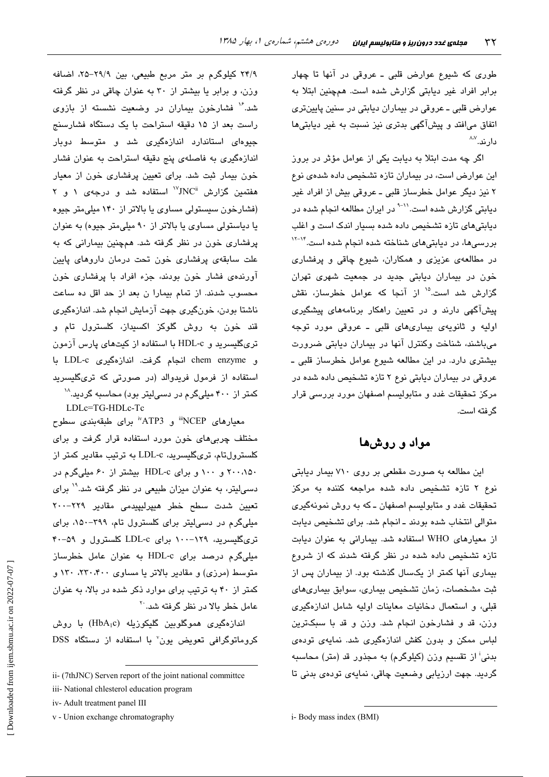طوری که شیوع عوارض قلبی ـ عروقی در آنها تا چهار برابر افراد غیر دیابتی گزارش شده است. همچنین ابتلا به عوارض قلبي ـ عروقي در بيماران ديابتي در سنين پايينتري اتفاق میافتد و پیشآگهی بدتری نیز نسبت به غیر دیابتیها دار ند. ^^

اگر چه مدت ابتلا به دیابت یکی از عوامل مؤثر در بروز این عوارض است، در بیماران تازه تشخیص داده شدهی نوع ۲ نیز دیگر عوامل خطرساز قلبی ـ عروقی بیش از افراد غیر دیابتی گزارش شده است.<sup>۱۱-۹</sup> در ایران مطالعه انجام شده در دیابتیهای تازه تشخیص داده شده بسیار اندک است و اغلب بررسیها، در دیابتیهای شناخته شده انجام شده است.<sup>۱۴–۱۲</sup> در مطالعهی عزیزی و همکاران، شیوع چاقی و پرفشاری خون در بیماران دیابتی جدید در جمعیت شهری تهران گزارش شد است.<sup>۱۵</sup> از آنجا که عوامل خطرساز، نقش پیشآگهی دارند و در تعیین راهکار برنامههای پیشگیری اوليه و ثانويهى بيمارى هاى قلبى ـ عروقى مورد توجه می باشند، شناخت وکنترل آنها در بیماران دیابتی ضرورت بیشتری دارد. در این مطالعه شیوع عوامل خطرساز قلبی ـ عروقی در بیماران دیابتی نوع ۲ تازه تشخیص داده شده در مرکز تحقیقات غدد و متابولیسم اصفهان مورد بررسی قرار گر فته است.

مواد و روشها

این مطالعه به صورت مقطعی بر روی ۷۱۰ بیمار دیابتی نوع ۲ تازه تشخیص داده شده مراجعه کننده به مرکز تحقیقات غدد و متابولیسم اصفهان ـ که به روش نمونهگیری متوالی انتخاب شده بودند ـ انجام شد. برای تشخیص دیابت از معیارهای WHO استفاده شد. بیمارانی به عنوان دیابت تازه تشخیص داده شده در نظر گرفته شدند که از شروع بیماری آنها کمتر از یکسال گذشته بود. از بیماران پس از ثبت مشخصات، زمان تشخیص بیماری، سوابق بیماریهای قبلی، و استعمال دخانیات معاینات اولیه شامل اندازهگیری وزن، قد و فشارخون انجام شد. وزن و قد با سبکترین لباس ممکن و بدون کفش اندازهگیری شد. نمایهی تودهی بدنی<sup>:</sup> از تقسیم وزن (کیلوگرم) به مجذور قد (متر) محاسبه گردید. جهت ارزیابی وضعیت چاقی، نمایهی تودهی بدنی تا

٢۴/٩ کیلوگرم بر متر مربع طبیعی، بین ٢٩/٩–٢۵، اضافه وزن، و برابر یا بیشتر از ۳۰ به عنوان چاقی در نظر گرفته شد." فشارخون بیماران در وضعیت نشسته از بازوی راست بعد از ۱۵ دقیقه استراحت با یک دستگاه فشارسنج جیوهای استاندارد اندازهگیری شد و متوسط دوبار اندازهگیری به فاصلهی پنج دقیقه استراحت به عنوان فشار خون بیمار ثبت شد. برای تعیین پرفشاری خون از معیار هفتمین گزارش  $\mathrm{NC}^\mathrm{i}$  استفاده شد و درجهی ۱ و ۲ (فشارخون سیستولی مساوی یا بالاتر از ۱۴۰ میلی متر جیوه یا دیاستولی مساوی یا بالاتر از ۹۰ میلی متر جیوه) به عنوان پرفشاری خون در نظر گرفته شد. همچنین بیمارانی که به علت سابقهی پرفشاری خون تحت درمان داروهای پایین آورندهی فشار خون بودند، جزء افراد با پرفشاری خون محسوب شدند. از تمام بیمارا ن بعد از حد اقل ده ساعت ناشتا بودن، خونگیری جهت آزمایش انجام شد. اندازهگیری قند خون به روش گلوکز اکسیداز، کلسترول تام و تریگلیسرید و HDL-c با استفاده از کیتهای پارس آزمون و chem enzyme انجام گرفت. اندازهگیری LDL-c با استفاده از فرمول فریدوالد (در صورتی که تریگلیسرید کمتر از ۴۰۰ میلیگرم در دسی لیتر بود) محاسبه گردید.^`

LDLc=TG-HDLc-Tc

معیارهای NCEP" و ATP3" برای طبقهبندی سطوح مختلف چربی های خون مورد استفاده قرار گرفت و برای کلسترولتام، تریگلیسرید، LDL-c به ترتیب مقادیر کمتر از ۲۰۰،۱۵۰ و ۱۰۰ و برای HDL-c بیشتر از ۶۰ میلی گرم در دسهایتر، به عنوان میزان طبیعی در نظر گرفته شد.<sup>۱۹</sup> برای تعیین شدت سطح خطر هیپرلیپیدمی مقادیر ۲۲۹–۲۰۰ میلیگرم در دسیلیتر برای کلسترول تام، ۳۹۹-۱۵۰، برای تریگلیسرید، ۱۲۹-۱۰۰ برای LDL-c کلسترول و ۵۹-۴۰ میلیگرم درصد برای HDL-c به عنوان عامل خطرساز متوسط (مرزی) و مقادیر بالاتر یا مساوی ۲۳۰،۴۰۰، ۱۳۰ و کمتر از ۴۰ به ترتیب برای موارد ذکر شده در بالا، به عنوان عامل خطر بالا در نظر گرفته شد.<sup>۲۰</sup>

اندازەگىرى ھموگلوبىن گليكوزىلە (HbA<sub>l</sub>c) با روش کروماتوگرافی تعویض یون<sup>7</sup> با استفاده از دستگاه DSS

ii- (7thJNC) Serven report of the joint national committee

iii- National chlesterol education program

iv-Adult treatment panel III

v - Union exchange chromatography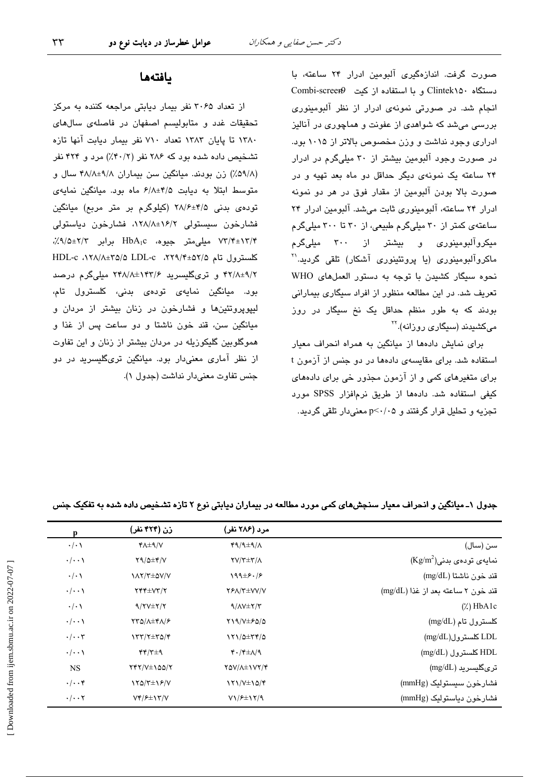صورت گرفت. اندازهگیری آلبومین ادرار ۲۴ ساعته، با دستگاه Clintek۱۵۰ و با استفاده از کیت Combi-screer انجام شد. در صورتی نمونهی ادرار از نظر آلبومینوری بررسی میشد که شواهدی از عفونت و هماچوری در آنالیز ادراری وجود نداشت و وزن مخصوص بالاتر از ۱۰۱۵ بود. در صورت وجود آلبومین بیشتر از ۳۰ میلیگرم در ادرار ۲۴ ساعته یک نمونهی دیگر حداقل دو ماه بعد تهیه و در صورت بالا بودن آلبومین از مقدار فوق در هر دو نمونه ادرار ٢۴ ساعته، آلبومینوری ثابت می شد. آلبومین ادرار ٢۴ ساعتهی کمتر از ۳۰ میلیگرم طبیعی، از ۳۰ تا ۳۰۰ میلیگرم میکروآلبومینوری و بیشتر از ۳۰۰ میلیگرم ماکروآلبومینوری (یا پروتئینوری آشکار) تلقی گردید.'' نحوه سيگار كشيدن با توجه به دستور العملهاى WHO تعریف شد. در این مطالعه منظور از افراد سیگاری بیمارانی بودند که به طور منظم حداقل یک نخ سیگار در روز میکشیدند (سیگار*ی* روزانه).<sup>۲۲</sup>

برای نمایش دادهها از میانگین به همراه انحراف معیار استفاده شد. برای مقایسهی دادهها در دو چنس از آزمون t برای متغیرهای کمی و از آزمون مجذور خی برای دادههای كيفى استفاده شد. دادهها از طريق نرمافزار SPSS مورد تجزیه و تحلیل قرار گرفتند و p<٠/٠۵ معنیدار تلقی گردید.

## بافتهها

از تعداد ۳۰۶۵ نفر بیمار دیابتی مراجعه کننده به مرکز تحقیقات غدد و متابولیسم اصفهان در فاصلهی سالهای ١٣٨٠ تا پايان ١٣٨٣ تعداد ٧١٠ نفر بيمار ديابت آنها تازه تشخیص داده شده بود که ۲۸۶ نفر (۴۰/۲٪) مرد و ۴۲۴ نفر (۵۹/۸٪) زن بودند. میانگین سن بیماران ۴۸/۸±۹/۸ سال و متوسط ابتلا به دیابت ۶/۸±۴/۵ ماه بود. میانگین نمایهی توده یبدنی ۴/۵±۲۸/۶ (کیلوگرم بر متر مربع) میانگین فشارخون سیستولی ۰۱۲۸/۸±۱۶/۲ فشارخون دیاستولی ۷۳/۴±۱۳/۴ میلی متر جیوه، HbA<sub>1</sub>c برابر ۲/۳±۰٫۹/۵٪، کلسترول تام ۲۵/۸±۲۹/۴+۵۲، HDL-c ۰۱۲۸/۸±۲۵/۵ LDL-c ۴۲/۸±۹/۲ و تریگلیسرید ۲۴۸/۸±۱۴۳/۶ میلیگرم درصد بود. میانگین نمایهی تودهی بدنی، کلسترول تام، لیپویروتئینها و فشارخون در زنان بیشتر از مردان و ميانگين سن، قند خون ناشتا و دو ساعت پس از غذا و هموگلوبین گلیکوزیله در مردان بیشتر از زنان و این تفاوت از نظر آماری معنیدار بود. میانگین تریگلیسرید در دو جنس تفاوت معنى دار نداشت (جدول ١).

|                                    | مرد (۲۸۶ نفر)                                           | زن (۴۲۴ نفر)            | p                    |
|------------------------------------|---------------------------------------------------------|-------------------------|----------------------|
| سن (سال)                           | $49/9 \pm 9/4$                                          | $Y\Lambda \pm \gamma/V$ | $\cdot/\cdot$        |
| $(Kg/m^2)$ نمایهی تودهی بدنی       | $\Upsilon V/\Upsilon \pm \Upsilon/\Lambda$              | $Y9/\Delta \pm Y/V$     | $\cdot/\cdot\cdot$   |
| قند خون ناشتا (mg/dL)              | $199\pm 5.75$                                           | <b>IAY/T±QV/V</b>       | $\cdot/\cdot$        |
| قند خون ٢ ساعته بعد از غذا (mg/dL) | <b>YFA/Y±VV/V</b>                                       | $YYY \pm VY/Y$          | $\cdot/\cdot\cdot$   |
| $(\lambda)$ HbA1c                  | $9/\Lambda V \pm 7/\Upsilon$                            | $9/7V \pm 7/7$          | $\cdot/\cdot \wedge$ |
| كلسترول تام (mg/dL)                | $Y19/V \pm 50/\Omega$                                   | <b>TTQ/A±FA/۶</b>       | $\cdot/\cdot\cdot$   |
| LDL کلسترول(mg/dL)                 | $171/0 \pm 77/0$                                        | $YY'Y^{\pm}Y^{\infty}$  | $\cdot/\cdot\cdot$ ۳ |
| HDL کلسترول (mg/dL)                | $\mathfrak{r}\cdot/\mathfrak{r}\pm\Lambda/\mathfrak{q}$ | f(f)                    | $\cdot/\cdot\cdot$   |
| ترىگليسريد (mg/dL)                 | <b>TOV/A±1VY/F</b>                                      | $YYY/Y\pm 100/Y$        | <b>NS</b>            |
| فشارخون سيستوليک (mmHg)            | $\frac{1}{\sqrt{2}}$                                    | $YQ/T\pm VP/V$          | $\cdot/\cdot\cdot$ ۴ |
| فشارخون دياستوليک (mmHg)           | $V1/F\pm17/9$                                           | $Vf/F\pm Vf/V$          | $\cdot/\cdot\cdot$ ۲ |

جدول ۱ـ میانگین و انحراف معیار سنجشهای کمی مورد مطالعه در بیماران دیابتی نوع ۲ تازه تشخیص داده شده به تفکیک جنس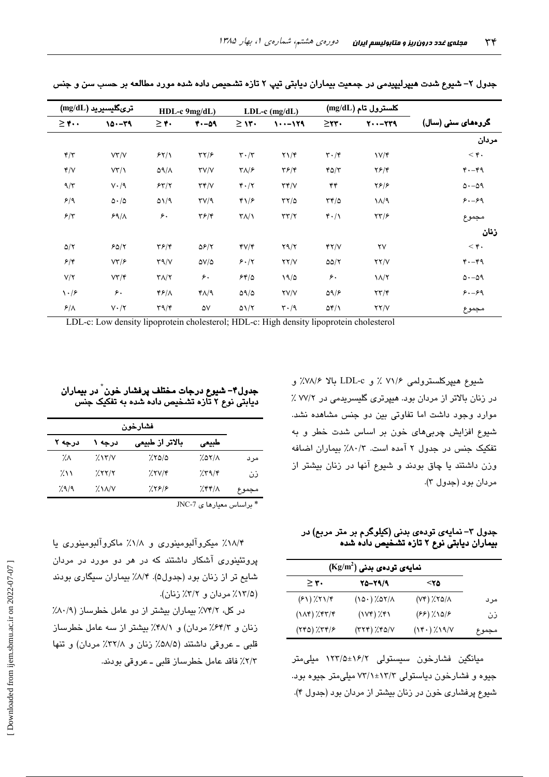| $(mg/dL)$ ترىگليسيريد   |                          | HDL-c 9mg/dL)                     |                                      | $LDL-c$ (mg/dL)                 |                               | $\left(\text{mg/dL}\right)$ کلسترول تام |                        |                           |  |
|-------------------------|--------------------------|-----------------------------------|--------------------------------------|---------------------------------|-------------------------------|-----------------------------------------|------------------------|---------------------------|--|
| $\geq$ ۴                | $10 - 79$                | $\geq r$ .                        | $4. -09$                             | $\geq$ 1۳.                      | $\cdots -$ 129                | $\geq$ rr.                              | $Y - -YY9$             | گروهها <i>ی</i> سنی (سال) |  |
|                         |                          |                                   |                                      |                                 |                               |                                         |                        | مردان                     |  |
| $\mathbf{f}/\mathbf{f}$ | VY/Y                     | 55/1                              | $\tau\gamma/\epsilon$                | $\mathbf{r} \cdot / \mathbf{r}$ | $\Upsilon \setminus \Upsilon$ | $\mathbf{r} \cdot \mathbf{r}$           | $V/\mathcal{F}$        | $<$ ۴.                    |  |
| Y/V                     | VT/1                     | $\Delta \Lambda/\Lambda$          | $\Upsilon V/V$                       | $\mathbf{Y}\wedge/\mathbf{P}$   | $\mathbf{Y}$ $\mathbf{F}$     | YQ/Y                                    | $Y$ $5$ / $Y$          | $4 - 64$                  |  |
| $9/\tau$                | $V \cdot / 9$            | 55/7                              | $\tau\tau/\nu$                       | $\mathbf{r} \cdot / \mathbf{r}$ | $\tau \tau / \nu$             | ۴۴                                      | Y5/5                   | $\Delta - \Delta$ 9       |  |
| 5/9                     | $\Delta \cdot / \Delta$  | $\Delta$ 1/9                      | $\Upsilon V / 9$                     | ۴۱/۶                            | $\tau\tau/\vartriangle$       | $\tau$ ۴/۵                              | $1/\sqrt{9}$           | $8. - 89$                 |  |
| $5/\tau$                | 59/1                     | ۶٠                                | $\mathbf{Y} \mathbf{F} / \mathbf{Y}$ | $\Upsilon/\Upsilon$             | $\tau\tau/\tau$               | 4.1                                     | $\tau\tau/\epsilon$    | مجموع                     |  |
|                         |                          |                                   |                                      |                                 |                               |                                         |                        | زنان                      |  |
| $\Delta/\Upsilon$       | 50/7                     | $\mathbf{Y}$ $\mathbf{F}$         | $\Delta \mathcal{F}/\mathcal{F}$     | $fV/\tau$                       | $Y \Upsilon / \Upsilon$       | YY/Y                                    | $\mathsf{Y}\mathsf{V}$ | $<$ ۴.                    |  |
| 5/5                     | $V\mathbf{Y}/\mathbf{P}$ | $\Upsilon \sim \Upsilon$          | $\Delta V/\Delta$                    | 5.17                            | YY/Y                          | $\Delta \Delta / \Upsilon$              | YY/Y                   | $4. -49$                  |  |
| $V/\Upsilon$            | $V\Upsilon/\Upsilon$     | $\Upsilon\Lambda/\Upsilon$        | ۶۰                                   | 54/0                            | 19/2                          | ۶۰                                      | $\lambda/\lambda$      | $\Delta - \Delta$ ۹       |  |
| $\backslash \cdot$ /۶   | ۶٠                       | ۴۶/۸                              | $Y\Lambda$                           | $\Delta \frac{1}{\Delta}$       | <b>YV/V</b>                   | $\Delta$ 9/ $\epsilon$                  | $\tau\tau/\tau$        | $8. - 89$                 |  |
| $\mathcal{F}/\Lambda$   | $V \cdot / Y$            | $\mathbf{r}\mathbf{a}/\mathbf{r}$ | ۵٧                                   | $\Delta \frac{1}{1}$            | $\mathbf{r} \cdot \mathbf{a}$ | $\Delta f/\lambda$                      | YY/Y                   | مجموع                     |  |

جدول ۲– شپوع شدت هیپرلیپیدمی در جمعیت بیماران دیابتی تیپ ۲ تازه تشحیص داده شده مورد مطالعه بر حسب سن و جنس

LDL-c: Low density lipoprotein cholesterol; HDL-c: High density lipoprotein cholesterol

شىيوع ھىيپركلسىترولمى ٧١/۶ ٪ و LDL-c بالا ٧٨/۶٪ و در زنان بالاتر از مردان بود. هیپرتری گلیسریدمی در ۷۷/۲٪ موارد وجود داشت اما تفاوتی بین دو جنس مشاهده نشد. شيوع افزايش چربي،هاي خون بر اساس شدت خطر و به تفکیک جنس در جدول ٢ آمده است. ٨٠/٣٪ بیماران اضافه وزن داشتند یا چاق بودند و شیوع آنها در زنان بیشتر از مردان بود (جدول ۳).

جدول ۳– نمایهی تودهی بدنی (کیلوگرم بر متر مربع) در<br>بیماران دیابتی نوع ۲ تازه تشـخیص داده شده

|       | $(Kg/m^2)$ نمایەی تودەی بدنی      |                         |                        |  |  |
|-------|-----------------------------------|-------------------------|------------------------|--|--|
|       | ۲۵>                               | 20-29/9                 | $\geq r$ .             |  |  |
| مرد   | $(Y^*), Y^* \circ \wedge$         | $(10.7)$ % $(10.7)$     | $(51)$ $\frac{1}{11}$  |  |  |
| ذن    | $(FF)(\lambda)$                   | $(1Vf)$ $\chi$ $f1$     | $(1\lambda f)/f\tau/f$ |  |  |
| مجموع | $(Y^{\epsilon})$ / $X^{\epsilon}$ | $(779)$ $\chi$ $6/\chi$ | $(YY0)$ / $YY/F$       |  |  |

میانگین فشارخون سیستولی ۱۶/۲±۱۲۳/۵ میلی متر جیوه و فشارخون دیاستولی ۱۳/۳±۷۳/۱ میلی متر جیوه بود. شیوع پرفشاری خون در زنان بیشتر از مردان بود (جدول ۴).

جدول۴– شیوع درجات مختلف پرفشار خون ٌ در بیماران دیابتی نوع ۲ تازه تشخیص داده شده به تفکیک جنس

|                                | فشارخون |                 |                                    |            |  |  |
|--------------------------------|---------|-----------------|------------------------------------|------------|--|--|
|                                | طبيعى   | بالاتر از طبیعی | درجه ۱                             | درجه ۲     |  |  |
| مر د                           | 2.07/1  | 7.800           | 7.15/1                             | ۰⁄.٨       |  |  |
| ذن                             | 7.79/8  | 7.7V/f          | 7.55/7                             | $2\lambda$ |  |  |
| مجموع                          | 255/1   | 7.598           | $\frac{1}{2}$ $\frac{1}{\sqrt{2}}$ | 7.9/9      |  |  |
| $JNC-7$ بر اساس معیار ها ی $*$ |         |                 |                                    |            |  |  |

۱۸/۴٪ میکروآلبومینوری و ۱/۸٪ ماکروآلبومینوری یا پروتئینوری آشکار داشتند که در هر دو مورد در مردان شایع تر از زنان بود (جدول۵). ۸/۴٪ بیماران سیگاری بودند (١٣/٥٪ مردان و ٣/٢٪ زنان).

در کل، ۷۴/۲٪ بیماران بیشتر از دو عامل خطرساز (۸۰/۹٪ زنان و ۶۴/۲٪ مردان) و ۴۸/۱٪ بیشتر از سه عامل خطرساز قلبي ـ عروقي داشتند (۵۸/۵٪ زنان و ۳۲/۸٪ مردان) و تنها ٢/٣٪ فاقد عامل خطرساز قلبي ــ عروقي بودند.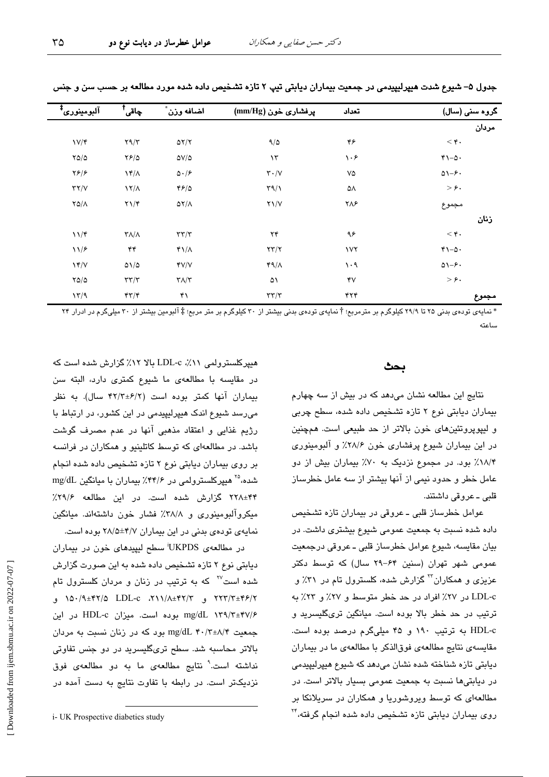| گروہ سنی (سال)                | تعداد      | پرفشاری خون (mm/Hg)          | اضافه وزن ٌ                  | چاقی <sup>†</sup>                       | آلبومينوري <sup>‡</sup> |
|-------------------------------|------------|------------------------------|------------------------------|-----------------------------------------|-------------------------|
| مردان                         |            |                              |                              |                                         |                         |
| $<$ ۴.                        | ۴۶         | 9/0                          | $\Delta Y/Y$                 | $\Upsilon \gamma / \Upsilon$            | $V/\mathfrak{r}$        |
| $r_{1-\Delta}$ .              | ۱۰۶        | $\mathcal{N}$                | $\Delta V/\Delta$            | $YF/\Delta$                             | $Y\Delta/\Delta$        |
| $\Delta - 5$                  | ٧۵         | $\mathbf{r}\cdot/\mathbf{v}$ | $\Delta \cdot /\mathcal{F}$  | $\gamma f/\lambda$                      | $\frac{1}{2}$           |
| $>\epsilon$ .                 | ۵۸         | $\Gamma$ 9/1                 | 45/0                         | $\lambda$                               | $\tau\tau/\nu$          |
| مجموع                         | ۲۸۶        | $Y\setminus V$               | $\Delta \Upsilon/\Lambda$    | $\Upsilon \Upsilon$                     | $Y\Delta/\Lambda$       |
| زنان                          |            |                              |                              |                                         |                         |
| $<$ ۴.                        | ۹۶         | ۲۴                           | $\tau\tau/\tau$              | $\Upsilon \Lambda / \Lambda$            | $11/\mathfrak{r}$       |
| $r_{1-\Delta}$ .              | $\sqrt{1}$ | $\tau\tau/\tau$              | $Y\lambda/\lambda$           | ۴۴                                      | 117                     |
| $\Delta$ $\rightarrow$ $\sim$ | $\cdot$ 9  | $49/\lambda$                 | YV/V                         | $\Delta \frac{1}{\Delta}$               | $\gamma$                |
| $>\epsilon$ .                 | ۴V         | ۵١                           | $\mathbf{Y}\wedge\mathbf{Y}$ | $\tau\tau/\tau$                         | YQQ                     |
| مجموع                         | ۴۲۴        | $\tau\tau/\tau$              | ۴۱                           | $\mathfrak{r}\mathfrak{r}/\mathfrak{r}$ | 17/9                    |
|                               |            |                              |                              |                                         |                         |

جدول ۵– شيوع شدت هيپرليپيدمي در جمعيت بيماران ديابتي تيپ ۲ تازه تشخيص داده شده مورد مطالعه بر حسب سن و جنس

\* نمایهی تودهی بدنی ۲۵ تا ۲۹/۹ کیلوگرم بر مترمربع؛ † نمایهی تودهی بدنی بیشتر از ۳۰ کیلوگرم بر متر مربع؛ ‡ آلبومین بیشتر از ۳۰ میلیگرم در ادرار ۲۴ ساعته

#### بحث

نتایج این مطالعه نشان میدهد که در بیش از سه چهارم بیماران دیابتی نوع ۲ تازه تشخیص داده شده، سطح چربی و ليپوپروتئينهاى خون بالاتر از حد طبيعى است. همچنين در این بیماران شیوع پرفشاری خون ۲۸/۶٪ و آلبومینوری ۱۸/۴٪ بود. در مجموع نزدیک به ۷۰٪ بیماران بیش از دو عامل خطر و حدود نیمی از آنها بیشتر از سه عامل خطرساز قلبي ـ عروقي داشتند.

عوامل خطرساز قلبی ـ عروقی در بیماران تازه تشخیص داده شده نسبت به جمعیت عمومی شیوع بیشتری داشت. در بیان مقایسه، شیوع عوامل خطرساز قلبی ـ عروقی درجمعیت عمومی شهر تهران (سنین ۶۴–۲۹ سال) که توسط دکتر عزیزی و همکاران<sup>۲۲</sup> گزارش شده، کلسترول تام در ۳۱٪ و LDL-c در ٢٧٪ افراد در حد خطر متوسط و ٢٧٪ و ٢٣٪ به ترتیب در حد خطر بالا بوده است. میانگین تریگلیسرید و HDL-c به ترتیب ۱۹۰ و ۴۵ میلیگرم درصد بوده است. مقایسه ی نتایج مطالعهی فوقالذکر با مطالعهی ما در بیماران دیابتی تازه شناخته شده نشان میدهد که شیوع هیپرلیپیدمی در دیابتی ها نسبت به جمعیت عمومی بسیار بالاتر است. در مطالعهای که توسط ویروشوریا و همکاران در سریلانکا بر روی بیماران دیابتی تازه تشخیص داده شده انجام گرفته،<sup>۲۴</sup>

هیپرکلسترولمی ۱۱٪، LDL-c بالا ۱۲٪ گزارش شده است که در مقایسه با مطالعهی ما شیوع کمتری دارد، البته سن بیماران آنها کمتر بوده است (۴۲/۲±۶/۲ سال). به نظر میرسد شیوع اندک هیپرلیپیدمی در این کشور، در ارتباط با رژيم غذايي و اعتقاد مذهبي آنها در عدم مصرف گوشت باشد. در مطالعهای که توسط کاتلینیو و همکاران در فرانسه بر روی بیماران دیابتی نوع ۲ تازه تشخیص داده شده انجام شده، <sup>۲۵</sup> هیپرکلسترولمی در ۴۴/۶٪ بیماران با میانگین mg/dL ۴۴±۲۲۸ گزارش شده است. در این مطالعه ۲۹/۶٪ میکروآلبومینوری و ۳۸/۸٪ فشار خون داشتهاند. میانگین نمایهی تودهی بدنی در این بیماران ۲۸/۵±۲۸/۵ بوده است.

در مطالعهی UKPDS سطح لیپیدهای خون در بیماران دیابتی نوع ۲ تازه تشخیص داده شده به این صورت گزارش شده است<sup>۲۷</sup> که به ترتیب در زنان و مردان کلسترول تام ۲۲۳/۳±۴۶/۲ و ۲/۱۲/۸±۴۲/۵ LDL-c ۲۱۱/۸±۴۲/۲ و mg/dL ۱۳۹/۳±۴۷/۶ بوده است. میزان HDL-c در این جمعیت mg/dL ۴۰/۳±۸/۴ دود که در زنان نسبت به مردان بالاتر محاسبه شد. سطح تریگلیسرید در دو جنس تفاوتی نداشته است.<sup>۹</sup> نتایج مطالعهی ما به دو مطالعهی فوق نزدیکتر است. در رابطه یا تفاوت نتایج به دست آمده در

i- UK Prospective diabetics study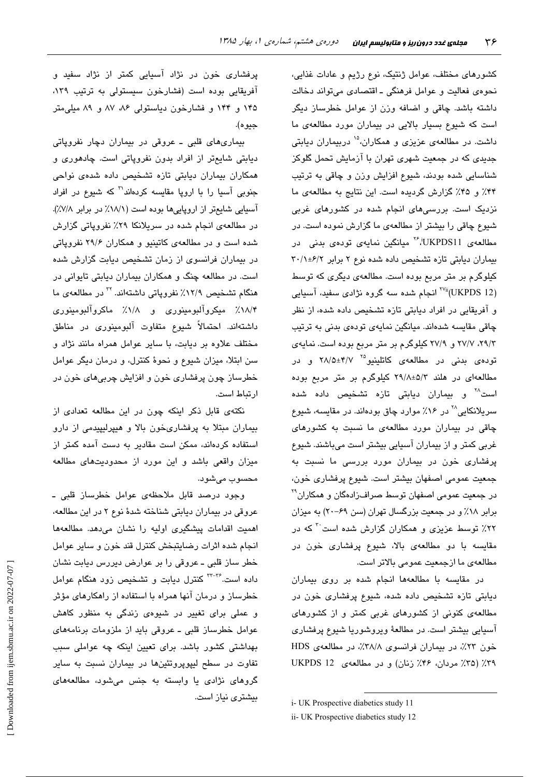کشورهای مختلف، عوامل ژنتیک، نوع رژیم و عادات غذایی، نحوهی فعالیت و عوامل فرهنگی ـ اقتصادی میتواند دخالت داشته باشد. چاقی و اضافه وزن از عوامل خطرساز دیگر است که شیوع بسیار بالایی در بیماران مورد مطالعهی ما داشت. در مطالعهی عزیزی و همکاران،<sup>۱۵</sup> دربیماران دیابتی جدید*ی* که در جمعیت شهری تهران با ازمایش تحمل گلوکز شناسایی شده بودند، شیوع افزایش وزن و چاقی به ترتیب ۴۴٪ و ۴۵٪ گزارش گردیده است. این نتایج به مطالعهی ما نزدیک است. بررسیهای انجام شده در کشورهای غربی شیوع چاقی را بیشتر از مطالعهی ما گزارش نموده است. در مطالعهی UKPDS11، <sup>۲۶</sup> میانگین نمایهی تودهی بدنی در بیماران دیابتی تازه تشخیص داده شده نوع ۲ برابر ۰/۱±۶/۲ کیلوگرم بر متر مربع بوده است. مطالعهی دیگری که توسط <sup>۷۷</sup>ï (UKPDS 12) انجام شده سه گروه نژادی سفید، آسیایی و افریقایی در افراد دیابتی تازه تشخیص داده شده، از نظر چاقی مقایسه شدهاند. میانگین نمایهی تودهی بدنی به ترتیب ۲۹/۳، ۲۷/۷ و ۲۷/۹ کیلوگرم بر متر مربع بوده است. نمایهی تودهی بدنی در مطالعهی کاتلینیو<sup>۲۵ ۲</sup>۸/۵±۴/۷ و در مطالعهای در هلند ۵/۲±۲۹/۸ کیلوگرم بر متر مربع بوده است<sup>۳۸</sup> و بیماران دیابتی تازه تشخیص داده شده سریلانکایی<sup>۲۸</sup> در ۱۶٪ موارد چاق بودهاند. در مقایسه، شیوع چاقی در بیماران مورد مطالعهی ما نسبت به کشورهای غربی کمتر و از بیماران اسیایی بیشتر است میباشند. شیوع پرفشاری خون در بیماران مورد بررسی ما نسبت به جمعیت عمومی اصفهان بیشتر است. شیوع پرفشاری خون، در جمعیت عمومی اصفهان توسط صراف(ادهگان و همکاران<sup>۲۹</sup> برابر ۱۸٪ و در جمعیت بزرگسال تهران (سن ۶۹–۲۰) به میزان ۲۲٪ توسط عزیزی و همکاران گزارش شده است<sup>۲۰</sup> که در مقایسه با دو مطالعهی بالا، شیوع پرفشاری خون در مطالعهی ما ازجمعیت عمومی بالاتر است.

در مقایسه با مطالعهها انجام شده بر روی بیماران دیابتی تازه تشخیص داده شده، شیوع پرفشاری خون در مطالعهی کنونی از کشورهای غربی کمتر و از کشورهای اسیایی بیشتر است. در مطالعهٔ ویروشوریا شیوع پرفشاری خون ۲۳٪، در بیماران فرانسوی ۳۸/۸٪، در مطالعهی HDS ۳۹٪ (۳۵٪ مردان، ۴۶٪ زنان) و در مطالعهی UKPDS 12

پرفشاری خون در نژاد اسیایی کمتر از نژاد سفید و افریقایی بوده است (فشارخون سیستولی به ترتیب ۱۳۹، ۱۴۵ و ۱۴۴ و فشارخون دیاستولی ۸۶، ۸۷ و ۸۹ میلیمتر جيو ه).

بیماریهای قلبی ــ عروقی در بیماران دچار نفروپاتی دیابتی شایعتر از افراد بدون نفروپاتی است. چادهوری و همکاران بیماران دیابتی تازه تشخیص داده شدهی نواحی جنوبی آسیا را با اروپا مقایسه کردهاند<sup>۳۱</sup> که شیوع در افراد اسیایی شایعتر از اروپاییها بوده است (۱۸/۱٪ در برابر ۷/۸٪). در مطالعهی انجام شده در سریلانکا ۲۹٪ نفروپاتی گزارش شده است و در مطالعهی کاتینیو و همکاران ۲۹/۶ نفروپاتی در بیماران فرانسوی از زمان تشخیص دیابت گزارش شده است. در مطالعه چنگ و همکاران بیماران دیابتی تایوانی در هنگام تشخیص ۱۲/۹٪ نفروپاتی داشتهاند. <sup>۲۲</sup> در مطالعهی ما ۰<br>۱۸/۴٪ میکروآلبومینوری و ۱۸/۸٪ ماکروآلبومینوری داشتهاند. احتمالاً شیوع متفاوت آلبومینوری در مناطق مختلف علاوه بر ديابت، با ساير عوامل همراه مانند نژاد و سن ابتلا، میزان شیوع و نجوهٔ کنترل، و درمان دیگر عوامل خطرساز چون پرفشاری خون و افزایش چربیهای خون در ار تباط است.

نکتهی قابل ذکر اینکه چون در این مطالعه تعدادی از بیماران مبتلا به پرفشاریخون بالا و هیپرلیپیدمی از دارو استفاده کردهاند، ممکن است مقادیر به دست آمده کمتر از میزان واقعی باشد و این مورد از محدودیتهای مطالعه محسوب میشود.

وجود درصد قابل ملاحظهی عوامل خطرساز قلبی ـ عروقی در بیماران دیابتی شناخته شدهٔ نوع ۲ در این مطالعه، اهمیت اقدامات پیشگیری اولیه را نشان میدهد. مطالعهها انجام شده اثرات رضايتبخش كنترل قند خون و ساير عوامل خطر ساز قلبی ــ عروقی را بر عوارض دیررس دیابت نشان داده است.<sup>۳--۳</sup> کنترل دیابت و تشخیص زود هنگام عوامل خطرساز و درمان آنها همراه با استفاده از راهکارهای مؤثر و عملی برای تغییر در شیوه*ی* زندگی به منظور کاهش عوامل خطرساز قلبی ــ عروقی باید از ملزومات برنامههای بهداشتی کشور باشد. برای تعیین اینکه چه عواملی سبب تفاوت در سطح لیپوپروتئینها در بیماران نسبت به سایر گروهای نژادی یا وابسته به جنس میشود، مطالعههای بیشتری نیاز است.

i- UK Prospective diabetics study 11

ii- UK Prospective diabetics study 12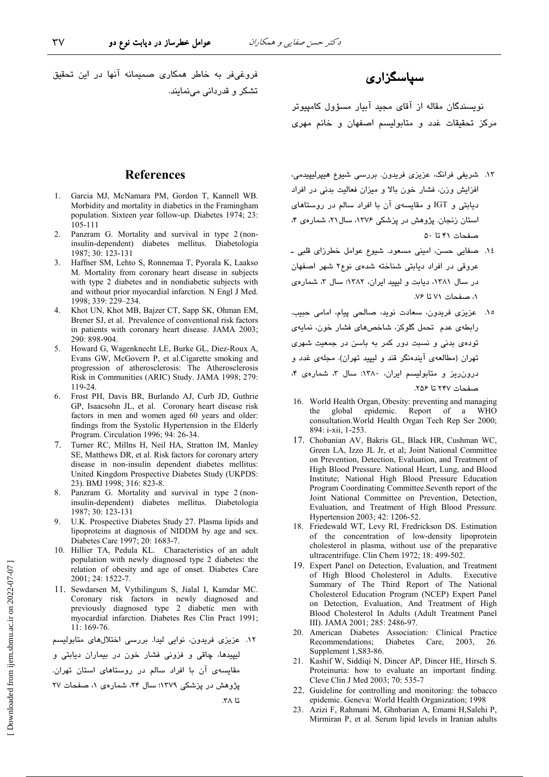فروغی فر به خاطر همکاری صمیمانه آنها در این تحقیق

تشکر و قدر دانی می نمایند.

### سیاسگزاری

نویسندگان مقاله از آقای مجید آبیار مسؤول کامپیوتر مرکز تحقیقات غدد و متابولیسم اصفهان و خانم مهری

#### **References**

- Garcia MJ, McNamara PM, Gordon T, Kannell WB. 1. Morbidity and mortality in diabetics in the Framingham population. Sixteen year follow-up. Diabetes 1974; 23: 105-111
- 2. Panzram G. Mortality and survival in type 2 (noninsulin-dependent) diabetes mellitus. Diabetologia 1987; 30: 123-131
- 3. Haffner SM, Lehto S, Ronnemaa T, Pyorala K, Laakso M. Mortality from coronary heart disease in subjects with type 2 diabetes and in nondiabetic subjects with and without prior myocardial infarction. N Engl J Med. 1998; 339: 229-234.
- $\overline{4}$ Khot UN, Khot MB, Bajzer CT, Sapp SK, Ohman EM, Brener SJ, et al. Prevalence of conventional risk factors in patients with coronary heart disease. JAMA 2003: 290: 898-904.
- 5. Howard G, Wagenknecht LE, Burke GL, Diez-Roux A, Evans GW, McGovern P, et al.Cigarette smoking and progression of atherosclerosis: The Atherosclerosis Risk in Communities (ARIC) Study. JAMA 1998; 279: 119-24
- 6. Frost PH, Davis BR, Burlando AJ, Curb JD, Guthrie GP, Isaacsohn JL, et al. Coronary heart disease risk factors in men and women aged 60 years and older: findings from the Systolic Hypertension in the Elderly Program. Circulation 1996; 94: 26-34.
- $7_{\scriptscriptstyle{\ddots}}$ Turner RC, Millns H, Neil HA, Stratton IM, Manley SE, Matthews DR, et al. Risk factors for coronary artery disease in non-insulin dependent diabetes mellitus: United Kingdom Prospective Diabetes Study (UKPDS: 23). BMJ 1998; 316: 823-8.
- Panzram G. Mortality and survival in type 2 (non- $\mathcal{R}$ insulin-dependent) diabetes mellitus. Diabetologia 1987; 30: 123-131
- $\mathbf{Q}$ U.K. Prospective Diabetes Study 27. Plasma lipids and lipoproteins at diagnosis of NIDDM by age and sex. Diabetes Care 1997; 20: 1683-7.
- 10. Hillier TA, Pedula KL. Characteristics of an adult population with newly diagnosed type 2 diabetes: the relation of obesity and age of onset. Diabetes Care 2001; 24: 1522-7.
- 11. Sewdarsen M, Vythilingum S, Jialal I, Kamdar MC. Coronary risk factors in newly diagnosed and previously diagnosed type 2 diabetic men with myocardial infarction. Diabetes Res Clin Pract 1991;  $11:169-76.$

١٢. عزیزی فریدون، نوایی لیدا. بررسی اختلالهای متابولیسم

ليپيدها، ڇاقي و فزوني فشار خون در بيماران ديابتي و مقایسهی آن با افراد سالم در روستاهای استان تهران. پژوهش در پزشکی ۱۳۷۹؛ سال ۲۴، شمارهی ۱، صفحات ۲۷ تا ۲۸.

- ١٣. شریفی فرانک، عزیزی فریدون. بررسی شیوع هیپرلیپیدمی، افزایش وزن، فشار خون بالا و میزان فعالیت بدنی در افراد دیابتی و IGT و مقایسهی آن با افراد سالم در روستاهای استان زنجان. پژوهش در پزشکی ۱۳۷۶، سال۲۱، شمارهی ۴، صفحات ۴۱ تا ۵۰
- ١٤. صفايي حسن، اميني مسعود. شيوع عوامل خطرزاي قلبي ـ عروقی در افراد دیابتی شناخته شدهی نوع۲ شهر اصفهان در سال ۱۳۸۱، دیابت و لیپید ایران، ۱۳۸۲؛ سال ۳، شمارهی ١، صفحات ٧١ تا ٧۶.
- ١٥. عزيزي فريدون، سعادت نويد، صالحي پيام، امامي حبيب. رابطهی عدم تحمل گلوکز، شاخصهای فشار خون، نمایهی تودهی بدنی و نسبت دور کمر به باسن در جمعیت شهری تهران (مطالعهی آیندهنگر قند و لیپید تهران). مجلهی غدد و درون ریز و متابولیسم ایران، ١٣٨٠: سال ٣، شمارهی ۴، صفحات ٢۴٧ تا ٢٥۶.
- 16. World Health Organ, Obesity: preventing and managing the global epidemic. Report of a WHO consultation. World Health Organ Tech Rep Ser 2000; 894: i-xii, 1-253.
- 17. Chobanian AV, Bakris GL, Black HR, Cushman WC, Green LA, Izzo JL Jr, et al; Joint National Committee on Prevention, Detection, Evaluation, and Treatment of High Blood Pressure. National Heart, Lung, and Blood Institute; National High Blood Pressure Education Program Coordinating Committee.Seventh report of the Joint National Committee on Prevention, Detection, Evaluation, and Treatment of High Blood Pressure. Hypertension 2003; 42: 1206-52.
- 18. Friedewald WT, Levy RI, Fredrickson DS. Estimation of the concentration of low-density lipoprotein cholesterol in plasma, without use of the preparative ultracentrifuge. Clin Chem 1972; 18: 499-502.
- 19. Expert Panel on Detection, Evaluation, and Treatment of High Blood Cholesterol in Adults. Executive Summary of The Third Report of The National Cholesterol Education Program (NCEP) Expert Panel on Detection, Evaluation, And Treatment of High Blood Cholesterol In Adults (Adult Treatment Panel III). JAMA 2001; 285: 2486-97.
- 20. American Diabetes Association: Clinical Practice Diabetes Care. Recommendations; 2003. 26. Supplement 1, S83-86.
- 21. Kashif W, Siddigi N, Dincer AP, Dincer HE, Hirsch S. Proteinuria: how to evaluate an important finding. Cleve Clin J Med 2003; 70: 535-7
- 22. Guideline for controlling and monitoring: the tobacco epidemic. Geneva: World Health Organization; 1998
- 23. Azizi F, Rahmani M, Ghnbarian A, Emami H, Salehi P, Mirmiran P, et al. Serum lipid levels in Iranian adults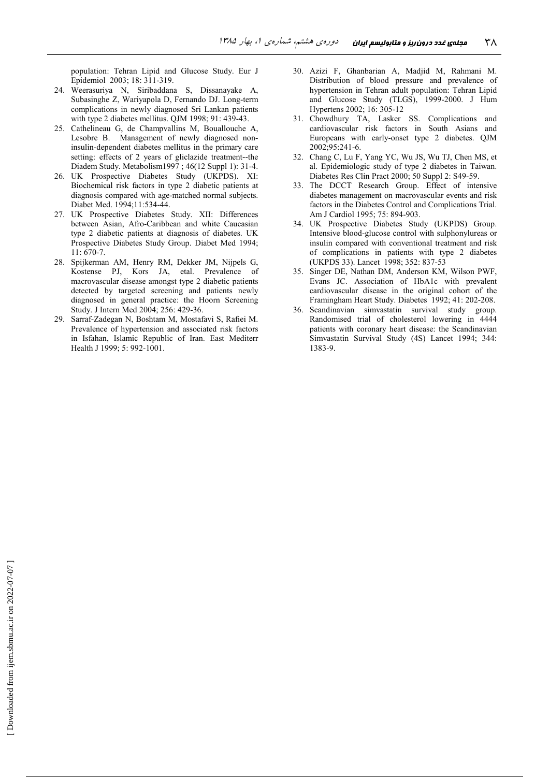population: Tehran Lipid and Glucose Study. Eur J Epidemiol 2003; 18: 311-319.

- 24. Weerasuriya N, Siribaddana S, Dissanayake A, Subasinghe Z, Wariyapola D, Fernando DJ. Long-term complications in newly diagnosed Sri Lankan patients with type 2 diabetes mellitus. QJM 1998; 91: 439-43.
- 25. Cathelineau G, de Champvallins M, Bouallouche A, Lesobre B. Management of newly diagnosed noninsulin-dependent diabetes mellitus in the primary care setting: effects of 2 years of gliclazide treatment--the Diadem Study. Metabolism1997; 46(12 Suppl 1): 31-4.
- $26$ UK Prospective Diabetes Study (UKPDS). XI: Biochemical risk factors in type 2 diabetic patients at diagnosis compared with age-matched normal subjects. Diabet Med. 1994;11:534-44.
- 27. UK Prospective Diabetes Study. XII: Differences between Asian, Afro-Caribbean and white Caucasian type 2 diabetic patients at diagnosis of diabetes. UK Prospective Diabetes Study Group. Diabet Med 1994;  $11:670-7.$
- 28. Spijkerman AM, Henry RM, Dekker JM, Nijpels G, Kostense PJ, Kors JA, etal. Prevalence of macrovascular disease amongst type 2 diabetic patients detected by targeted screening and patients newly diagnosed in general practice: the Hoorn Screening Study. J Intern Med 2004; 256: 429-36.
- 29. Sarraf-Zadegan N, Boshtam M, Mostafavi S, Rafiei M. Prevalence of hypertension and associated risk factors in Isfahan, Islamic Republic of Iran. East Mediterr Health J 1999; 5: 992-1001.
- 30. Azizi F, Ghanbarian A, Madjid M, Rahmani M. Distribution of blood pressure and prevalence of hypertension in Tehran adult population: Tehran Lipid and Glucose Study (TLGS), 1999-2000. J Hum Hypertens 2002; 16: 305-12
- 31. Chowdhury TA, Lasker SS. Complications and cardiovascular risk factors in South Asians and Europeans with early-onset type 2 diabetes. OJM 2002;95:241-6.
- 32. Chang C, Lu F, Yang YC, Wu JS, Wu TJ, Chen MS, et al. Epidemiologic study of type 2 diabetes in Taiwan. Diabetes Res Clin Pract 2000; 50 Suppl 2: S49-59.
- 33. The DCCT Research Group. Effect of intensive diabetes management on macrovascular events and risk factors in the Diabetes Control and Complications Trial. Am J Cardiol 1995; 75: 894-903.
- 34. UK Prospective Diabetes Study (UKPDS) Group. Intensive blood-glucose control with sulphonylureas or insulin compared with conventional treatment and risk of complications in patients with type 2 diabetes (UKPDS 33). Lancet 1998; 352: 837-53
- 35. Singer DE, Nathan DM, Anderson KM, Wilson PWF, Evans JC. Association of HbA1c with prevalent cardiovascular disease in the original cohort of the Framingham Heart Study. Diabetes 1992; 41: 202-208.
- 36. Scandinavian simvastatin survival study group. Randomised trial of cholesterol lowering in 4444 patients with coronary heart disease: the Scandinavian Simvastatin Survival Study (4S) Lancet 1994; 344: 1383-9.